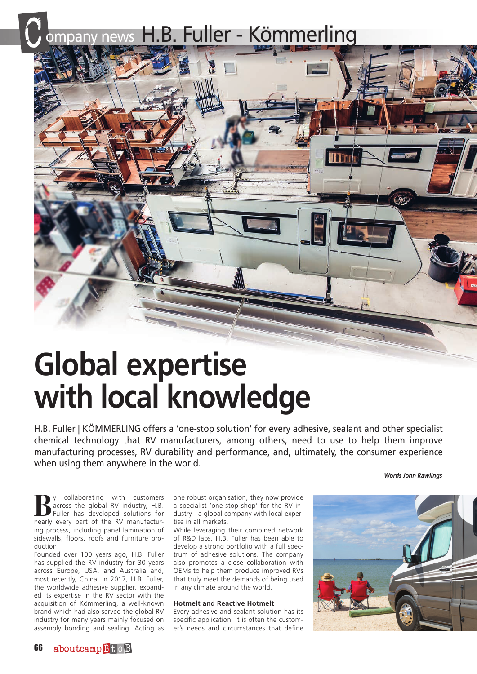# B. Fuller - Kömmerling



## **Global expertise with local knowledge**

H.B. Fuller | KÖMMERLING offers a 'one-stop solution' for every adhesive, sealant and other specialist chemical technology that RV manufacturers, among others, need to use to help them improve manufacturing processes, RV durability and performance, and, ultimately, the consumer experience when using them anywhere in the world.

*Words John Rawlings*

**By** collaborating with customers<br>
Fuller has developed solutions for<br>
pearly every part of the BV manufacture across the global RV industry, H.B. nearly every part of the RV manufacturing process, including panel lamination of sidewalls, floors, roofs and furniture production.

Founded over 100 years ago, H.B. Fuller has supplied the RV industry for 30 years across Europe, USA, and Australia and, most recently, China. In 2017, H.B. Fuller, the worldwide adhesive supplier, expanded its expertise in the RV sector with the acquisition of Kömmerling, a well-known brand which had also served the global RV industry for many years mainly focused on assembly bonding and sealing. Acting as one robust organisation, they now provide a specialist 'one-stop shop' for the RV industry - a global company with local expertise in all markets.

While leveraging their combined network of R&D labs, H.B. Fuller has been able to develop a strong portfolio with a full spectrum of adhesive solutions. The company also promotes a close collaboration with OEMs to help them produce improved RVs that truly meet the demands of being used in any climate around the world.

#### **Hotmelt and Reactive Hotmelt**

Every adhesive and sealant solution has its specific application. It is often the customer's needs and circumstances that define